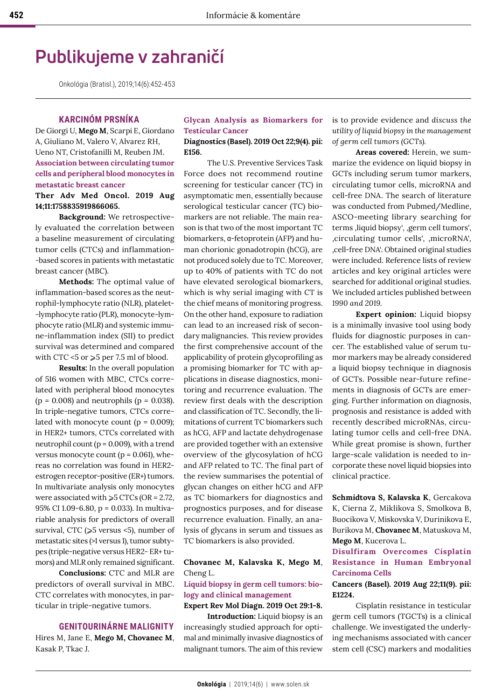# **Publikujeme v zahraničí**

Onkológia (Bratisl.), 2019;14(6):452-453

## **KARCINÓM PRSNÍKA**

De Giorgi U, **Mego M**, Scarpi E, Giordano A, Giuliano M, Valero V, Alvarez RH, Ueno NT, Cristofanilli M, Reuben JM. **Association between circulating tumor cells and peripheral blood monocytes in metastatic breast cancer**

# **Ther Adv Med Oncol. 2019 Aug 14;11:1758835919866065.**

**Background:** We retrospectively evaluated the correlation between a baseline measurement of circulating tumor cells (CTCs) and inflammation- -based scores in patients with metastatic breast cancer (MBC).

**Methods:** The optimal value of inflammation-based scores as the neutrophil-lymphocyte ratio (NLR), platelet- -lymphocyte ratio (PLR), monocyte-lymphocyte ratio (MLR) and systemic immune-inflammation index (SII) to predict survival was determined and compared with CTC  $<5$  or  $\geqslant 5$  per 7.5 ml of blood.

**Results:** In the overall population of 516 women with MBC, CTCs correlated with peripheral blood monocytes  $(p = 0.008)$  and neutrophils  $(p = 0.038)$ . In triple-negative tumors, CTCs correlated with monocyte count ( $p = 0.009$ ); in HER2+ tumors, CTCs correlated with neutrophil count ( $p = 0.009$ ), with a trend versus monocyte count ( $p = 0.061$ ), whereas no correlation was found in HER2 estrogen receptor-positive (ER+) tumors. In multivariate analysis only monocytes were associated with  $\geqslant$  5 CTCs (OR = 2.72, 95% CI 1.09-6.80, p = 0.033). In multivariable analysis for predictors of overall survival, CTC ( $\geqslant$ 5 versus <5), number of metastatic sites (>1 versus 1), tumor subtypes (triple-negative versus HER2- ER+ tumors) and MLR only remained significant.

**Conclusions:** CTC and MLR are predictors of overall survival in MBC. CTC correlates with monocytes, in particular in triple-negative tumors.

#### **GENITOURINÁRNE MALIGNITY**

Hires M, Jane E, **Mego M, Chovanec M**, Kasak P, Tkac J.

#### **Glycan Analysis as Biomarkers for Testicular Cancer**

#### **Diagnostics (Basel). 2019 Oct 22;9(4). pii: E156.**

The U.S. Preventive Services Task Force does not recommend routine screening for testicular cancer (TC) in asymptomatic men, essentially because serological testicular cancer (TC) biomarkers are not reliable. The main reason is that two of the most important TC biomarkers, α-fetoprotein (AFP) and human chorionic gonadotropin (hCG), are not produced solely due to TC. Moreover, up to 40% of patients with TC do not have elevated serological biomarkers, which is why serial imaging with CT is the chief means of monitoring progress. On the other hand, exposure to radiation can lead to an increased risk of secondary malignancies. This review provides the first comprehensive account of the applicability of protein glycoprofiling as a promising biomarker for TC with applications in disease diagnostics, monitoring and recurrence evaluation. The review first deals with the description and classification of TC. Secondly, the limitations of current TC biomarkers such as hCG, AFP and lactate dehydrogenase are provided together with an extensive overview of the glycosylation of hCG and AFP related to TC. The final part of the review summarises the potential of glycan changes on either hCG and AFP as TC biomarkers for diagnostics and prognostics purposes, and for disease recurrence evaluation. Finally, an analysis of glycans in serum and tissues as TC biomarkers is also provided.

#### **Chovanec M, Kalavska K, Mego M**, Cheng L.

## **Liquid biopsy in germ cell tumors: biology and clinical management**

**Expert Rev Mol Diagn. 2019 Oct 29:1-8. Introduction:** Liquid biopsy is an increasingly studied approach for optimal and minimally invasive diagnostics of malignant tumors. The aim of this review

is to provide evidence and *discuss the utility of liquid biopsy in the management of germ cell tumors (GCTs).* 

**Areas covered:** Herein, we summarize the evidence on liquid biopsy in GCTs including serum tumor markers, circulating tumor cells, microRNA and cell-free DNA. The search of literature was conducted from Pubmed/Medline, ASCO-meeting library searching for terms, liquid biopsy', , germ cell tumors', , circulating tumor cells', , microRNA', 'cell-free DNA'. Obtained original studies were included. Reference lists of review articles and key original articles were searched for additional original studies. We included articles published between *1990 and 2019.* 

**Expert opinion:** Liquid biopsy is a minimally invasive tool using body fluids for diagnostic purposes in cancer. The established value of serum tumor markers may be already considered a liquid biopsy technique in diagnosis of GCTs. Possible near-future refinements in diagnosis of GCTs are emerging. Further information on diagnosis, prognosis and resistance is added with recently described microRNAs, circulating tumor cells and cell-free DNA. While great promise is shown, further large-scale validation is needed to incorporate these novel liquid biopsies into clinical practice.

**Schmidtova S, Kalavska K**, Gercakova K, Cierna Z, Miklikova S, Smolkova B, Buocikova V, Miskovska V, Durinikova E, Burikova M, **Chovanec M**, Matuskova M, **Mego M**, Kucerova L.

## **Disulfiram Overcomes Cisplatin Resistance in Human Embryonal Carcinoma Cells**

#### **Cancers (Basel). 2019 Aug 22;11(9). pii: E1224.**

Cisplatin resistance in testicular germ cell tumors (TGCTs) is a clinical challenge. We investigated the underlying mechanisms associated with cancer stem cell (CSC) markers and modalities